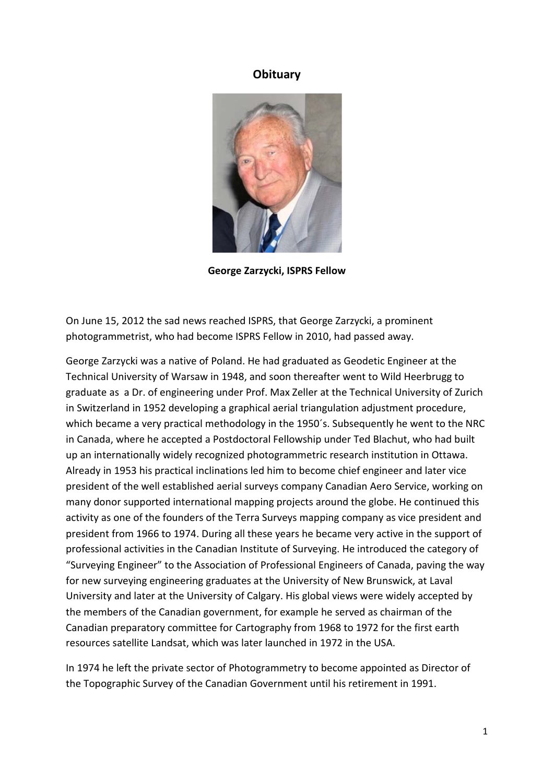## **Obituary**



**George Zarzycki, ISPRS Fellow**

On June 15, 2012 the sad news reached ISPRS, that George Zarzycki, a prominent photogrammetrist, who had become ISPRS Fellow in 2010, had passed away.

George Zarzycki was a native of Poland. He had graduated as Geodetic Engineer at the Technical University of Warsaw in 1948, and soon thereafter went to Wild Heerbrugg to graduate as a Dr. of engineering under Prof. Max Zeller at the Technical University of Zurich in Switzerland in 1952 developing a graphical aerial triangulation adjustment procedure, which became a very practical methodology in the 1950´s. Subsequently he went to the NRC in Canada, where he accepted a Postdoctoral Fellowship under Ted Blachut, who had built up an internationally widely recognized photogrammetric research institution in Ottawa. Already in 1953 his practical inclinations led him to become chief engineer and later vice president of the well established aerial surveys company Canadian Aero Service, working on many donor supported international mapping projects around the globe. He continued this activity as one of the founders of the Terra Surveys mapping company as vice president and president from 1966 to 1974. During all these years he became very active in the support of professional activities in the Canadian Institute of Surveying. He introduced the category of "Surveying Engineer" to the Association of Professional Engineers of Canada, paving the way for new surveying engineering graduates at the University of New Brunswick, at Laval University and later at the University of Calgary. His global views were widely accepted by the members of the Canadian government, for example he served as chairman of the Canadian preparatory committee for Cartography from 1968 to 1972 for the first earth resources satellite Landsat, which was later launched in 1972 in the USA.

In 1974 he left the private sector of Photogrammetry to become appointed as Director of the Topographic Survey of the Canadian Government until his retirement in 1991.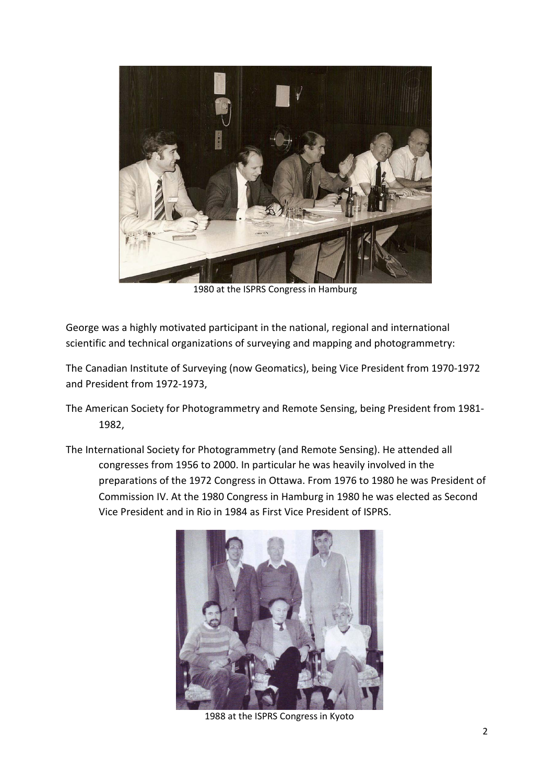

1980 at the ISPRS Congress in Hamburg

George was a highly motivated participant in the national, regional and international scientific and technical organizations of surveying and mapping and photogrammetry:

The Canadian Institute of Surveying (now Geomatics), being Vice President from 1970-1972 and President from 1972-1973,

- The American Society for Photogrammetry and Remote Sensing, being President from 1981- 1982,
- The International Society for Photogrammetry (and Remote Sensing). He attended all congresses from 1956 to 2000. In particular he was heavily involved in the preparations of the 1972 Congress in Ottawa. From 1976 to 1980 he was President of Commission IV. At the 1980 Congress in Hamburg in 1980 he was elected as Second Vice President and in Rio in 1984 as First Vice President of ISPRS.



1988 at the ISPRS Congress in Kyoto